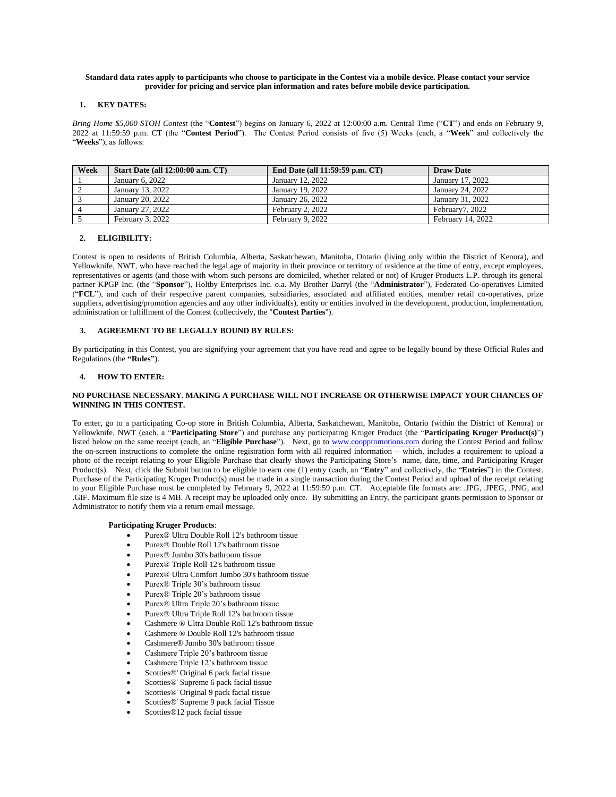#### **Standard data rates apply to participants who choose to participate in the Contest via a mobile device. Please contact your service provider for pricing and service plan information and rates before mobile device participation.**

### **1. KEY DATES:**

*Bring Home \$5,000 STOH Contest* (the "**Contest**") begins on January 6, 2022 at 12:00:00 a.m. Central Time ("**CT**") and ends on February 9, 2022 at 11:59:59 p.m. CT (the "**Contest Period**"). The Contest Period consists of five (5) Weeks (each, a "**Week**" and collectively the "**Weeks**"), as follows:

| Week | <b>Start Date (all 12:00:00 a.m. CT)</b> | End Date (all 11:59:59 p.m. CT) | <b>Draw Date</b>  |
|------|------------------------------------------|---------------------------------|-------------------|
|      | January $6.2022$                         | January 12, 2022                | January 17, 2022  |
|      | January 13, 2022                         | January 19, 2022                | January 24, 2022  |
|      | January 20, 2022                         | January 26, 2022                | January 31, 2022  |
|      | January 27, 2022                         | February 2, 2022                | February7, 2022   |
|      | February 3, 2022                         | February 9, 2022                | February 14, 2022 |

# **2. ELIGIBILITY:**

Contest is open to residents of British Columbia, Alberta, Saskatchewan, Manitoba, Ontario (living only within the District of Kenora), and Yellowknife, NWT, who have reached the legal age of majority in their province or territory of residence at the time of entry, except employees, representatives or agents (and those with whom such persons are domiciled, whether related or not) of Kruger Products L.P. through its general partner KPGP Inc. (the "**Sponsor**"), Holtby Enterprises Inc. o.a. My Brother Darryl (the "**Administrator**"), Federated Co-operatives Limited ("**FCL**"), and each of their respective parent companies, subsidiaries, associated and affiliated entities, member retail co-operatives, prize suppliers, advertising/promotion agencies and any other individual(s), entity or entities involved in the development, production, implementation, administration or fulfillment of the Contest (collectively, the "**Contest Parties**").

# **3. AGREEMENT TO BE LEGALLY BOUND BY RULES:**

By participating in this Contest, you are signifying your agreement that you have read and agree to be legally bound by these Official Rules and Regulations (the **"Rules"**).

# **4. HOW TO ENTER:**

#### **NO PURCHASE NECESSARY. MAKING A PURCHASE WILL NOT INCREASE OR OTHERWISE IMPACT YOUR CHANCES OF WINNING IN THIS CONTEST.**

To enter, go to a participating Co-op store in British Columbia, Alberta, Saskatchewan, Manitoba, Ontario (within the District of Kenora) or Yellowknife, NWT (each, a "**Participating Store**") and purchase any participating Kruger Product (the "**Participating Kruger Product(s)**") listed below on the same receipt (each, an "**Eligible Purchase**"). Next, go to [www.cooppromotions.com](http://www.cooppromotions.com/) during the Contest Period and follow the on-screen instructions to complete the online registration form with all required information – which, includes a requirement to upload a photo of the receipt relating to your Eligible Purchase that clearly shows the Participating Store's name, date, time, and Participating Kruger Product(s). Next, click the Submit button to be eligible to earn one (1) entry (each, an "**Entry**" and collectively, the "**Entries**") in the Contest. Purchase of the Participating Kruger Product(s) must be made in a single transaction during the Contest Period and upload of the receipt relating to your Eligible Purchase must be completed by February 9, 2022 at 11:59:59 p.m. CT. Acceptable file formats are: .JPG, .JPEG, .PNG, and .GIF. Maximum file size is 4 MB. A receipt may be uploaded only once. By submitting an Entry, the participant grants permission to Sponsor or Administrator to notify them via a return email message.

# **Participating Kruger Products**:

- Purex® Ultra Double Roll 12's bathroom tissue
- Purex® Double Roll 12's bathroom tissue
- Purex® Jumbo 30's bathroom tissue
- Purex® Triple Roll 12's bathroom tissue
- Purex® Ultra Comfort Jumbo 30's bathroom tissue
- Purex® Triple 30's bathroom tissue
- Purex<sup>®</sup> Triple 20's bathroom tissue
- Purex® Ultra Triple 20's bathroom tissue
- Purex® Ultra Triple Roll 12's bathroom tissue
- Cashmere ® Ultra Double Roll 12's bathroom tissue
- Cashmere ® Double Roll 12's bathroom tissue
- Cashmere® Jumbo 30's bathroom tissue
- Cashmere Triple 20's bathroom tissue
- Cashmere Triple 12's bathroom tissue
- Scotties®' Original 6 pack facial tissue
- Scotties®' Supreme 6 pack facial tissue
- Scotties®' Original 9 pack facial tissue
- Scotties®' Supreme 9 pack facial Tissue
- Scotties®12 pack facial tissue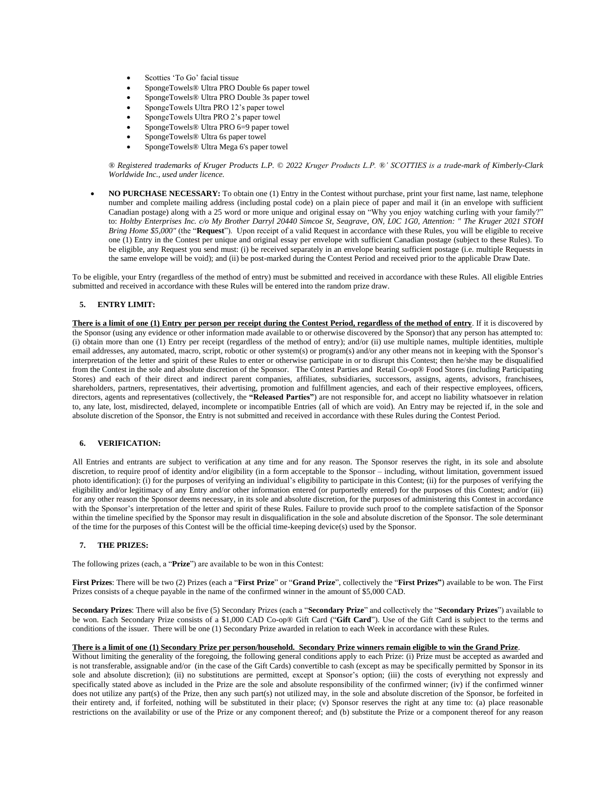- Scotties 'To Go' facial tissue
- SpongeTowels® Ultra PRO Double 6s paper towel
- SpongeTowels® Ultra PRO Double 3s paper towel
- SpongeTowels Ultra PRO 12's paper towel
- SpongeTowels Ultra PRO 2's paper towel
- SpongeTowels® Ultra PRO 6=9 paper towel
- SpongeTowels® Ultra 6s paper towel
- SpongeTowels® Ultra Mega 6's paper towel

*® Registered trademarks of Kruger Products L.P. © 2022 Kruger Products L.P. ®' SCOTTIES is a trade-mark of Kimberly-Clark Worldwide Inc., used under licence.*

• **NO PURCHASE NECESSARY:** To obtain one (1) Entry in the Contest without purchase, print your first name, last name, telephone number and complete mailing address (including postal code) on a plain piece of paper and mail it (in an envelope with sufficient Canadian postage) along with a 25 word or more unique and original essay on "Why you enjoy watching curling with your family?" to: *Holtby Enterprises Inc. c/o My Brother Darryl 20440 Simcoe St, Seagrave, ON, L0C 1G0, Attention: " The Kruger 2021 STOH Bring Home \$5,000"* (the "**Request**"). Upon receipt of a valid Request in accordance with these Rules, you will be eligible to receive one (1) Entry in the Contest per unique and original essay per envelope with sufficient Canadian postage (subject to these Rules). To be eligible, any Request you send must: (i) be received separately in an envelope bearing sufficient postage (i.e. multiple Requests in the same envelope will be void); and (ii) be post-marked during the Contest Period and received prior to the applicable Draw Date.

To be eligible, your Entry (regardless of the method of entry) must be submitted and received in accordance with these Rules. All eligible Entries submitted and received in accordance with these Rules will be entered into the random prize draw.

# **5. ENTRY LIMIT:**

**There is a limit of one (1) Entry per person per receipt during the Contest Period, regardless of the method of entry**. If it is discovered by the Sponsor (using any evidence or other information made available to or otherwise discovered by the Sponsor) that any person has attempted to: (i) obtain more than one (1) Entry per receipt (regardless of the method of entry); and/or (ii) use multiple names, multiple identities, multiple email addresses, any automated, macro, script, robotic or other system(s) or program(s) and/or any other means not in keeping with the Sponsor's interpretation of the letter and spirit of these Rules to enter or otherwise participate in or to disrupt this Contest; then he/she may be disqualified from the Contest in the sole and absolute discretion of the Sponsor. The Contest Parties and Retail Co-op® Food Stores (including Participating Stores) and each of their direct and indirect parent companies, affiliates, subsidiaries, successors, assigns, agents, advisors, franchisees, shareholders, partners, representatives, their advertising, promotion and fulfillment agencies, and each of their respective employees, officers, directors, agents and representatives (collectively, the **"Released Parties"**) are not responsible for, and accept no liability whatsoever in relation to, any late, lost, misdirected, delayed, incomplete or incompatible Entries (all of which are void). An Entry may be rejected if, in the sole and absolute discretion of the Sponsor, the Entry is not submitted and received in accordance with these Rules during the Contest Period.

# **6. VERIFICATION:**

All Entries and entrants are subject to verification at any time and for any reason. The Sponsor reserves the right, in its sole and absolute discretion, to require proof of identity and/or eligibility (in a form acceptable to the Sponsor – including, without limitation, government issued photo identification): (i) for the purposes of verifying an individual's eligibility to participate in this Contest; (ii) for the purposes of verifying the eligibility and/or legitimacy of any Entry and/or other information entered (or purportedly entered) for the purposes of this Contest; and/or (iii) for any other reason the Sponsor deems necessary, in its sole and absolute discretion, for the purposes of administering this Contest in accordance with the Sponsor's interpretation of the letter and spirit of these Rules. Failure to provide such proof to the complete satisfaction of the Sponsor within the timeline specified by the Sponsor may result in disqualification in the sole and absolute discretion of the Sponsor. The sole determinant of the time for the purposes of this Contest will be the official time-keeping device(s) used by the Sponsor.

#### **7. THE PRIZES:**

The following prizes (each, a "**Prize**") are available to be won in this Contest:

**First Prizes**: There will be two (2) Prizes (each a "**First Prize**" or "**Grand Prize**", collectively the "**First Prizes"**) available to be won. The First Prizes consists of a cheque payable in the name of the confirmed winner in the amount of \$5,000 CAD.

**Secondary Prizes**: There will also be five (5) Secondary Prizes (each a "**Secondary Prize**" and collectively the "**Secondary Prizes**") available to be won. Each Secondary Prize consists of a \$1,000 CAD Co-op® Gift Card ("**Gift Card**"). Use of the Gift Card is subject to the terms and conditions of the issuer. There will be one (1) Secondary Prize awarded in relation to each Week in accordance with these Rules.

### **There is a limit of one (1) Secondary Prize per person/household. Secondary Prize winners remain eligible to win the Grand Prize**.

Without limiting the generality of the foregoing, the following general conditions apply to each Prize: (i) Prize must be accepted as awarded and is not transferable, assignable and/or (in the case of the Gift Cards) convertible to cash (except as may be specifically permitted by Sponsor in its sole and absolute discretion); (ii) no substitutions are permitted, except at Sponsor's option; (iii) the costs of everything not expressly and specifically stated above as included in the Prize are the sole and absolute responsibility of the confirmed winner; (iv) if the confirmed winner does not utilize any part(s) of the Prize, then any such part(s) not utilized may, in the sole and absolute discretion of the Sponsor, be forfeited in their entirety and, if forfeited, nothing will be substituted in their place; (v) Sponsor reserves the right at any time to: (a) place reasonable restrictions on the availability or use of the Prize or any component thereof; and (b) substitute the Prize or a component thereof for any reason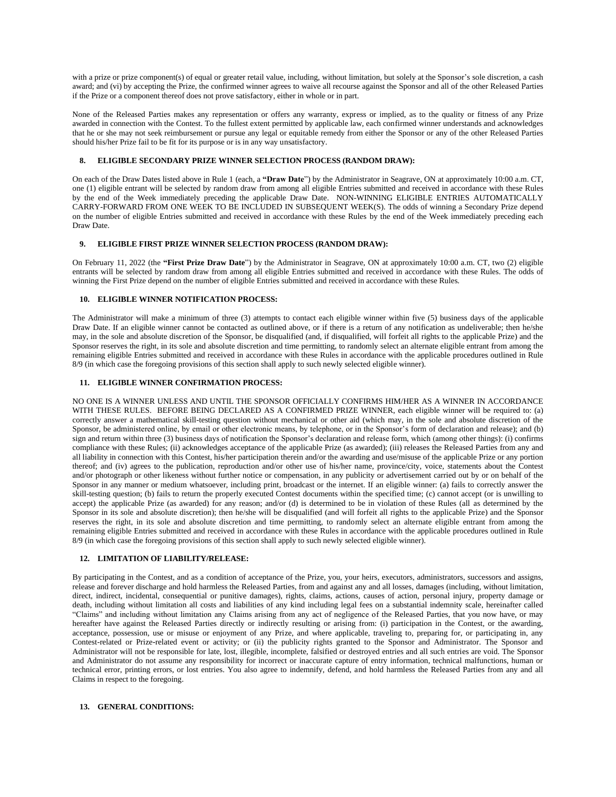with a prize or prize component(s) of equal or greater retail value, including, without limitation, but solely at the Sponsor's sole discretion, a cash award; and (vi) by accepting the Prize, the confirmed winner agrees to waive all recourse against the Sponsor and all of the other Released Parties if the Prize or a component thereof does not prove satisfactory, either in whole or in part.

None of the Released Parties makes any representation or offers any warranty, express or implied, as to the quality or fitness of any Prize awarded in connection with the Contest. To the fullest extent permitted by applicable law, each confirmed winner understands and acknowledges that he or she may not seek reimbursement or pursue any legal or equitable remedy from either the Sponsor or any of the other Released Parties should his/her Prize fail to be fit for its purpose or is in any way unsatisfactory.

# **8. ELIGIBLE SECONDARY PRIZE WINNER SELECTION PROCESS (RANDOM DRAW):**

On each of the Draw Dates listed above in Rule 1 (each, a **"Draw Date**") by the Administrator in Seagrave, ON at approximately 10:00 a.m. CT, one (1) eligible entrant will be selected by random draw from among all eligible Entries submitted and received in accordance with these Rules by the end of the Week immediately preceding the applicable Draw Date. NON-WINNING ELIGIBLE ENTRIES AUTOMATICALLY CARRY-FORWARD FROM ONE WEEK TO BE INCLUDED IN SUBSEQUENT WEEK(S). The odds of winning a Secondary Prize depend on the number of eligible Entries submitted and received in accordance with these Rules by the end of the Week immediately preceding each Draw Date.

# **9. ELIGIBLE FIRST PRIZE WINNER SELECTION PROCESS (RANDOM DRAW):**

On February 11, 2022 (the **"First Prize Draw Date**") by the Administrator in Seagrave, ON at approximately 10:00 a.m. CT, two (2) eligible entrants will be selected by random draw from among all eligible Entries submitted and received in accordance with these Rules. The odds of winning the First Prize depend on the number of eligible Entries submitted and received in accordance with these Rules.

# **10. ELIGIBLE WINNER NOTIFICATION PROCESS:**

The Administrator will make a minimum of three (3) attempts to contact each eligible winner within five (5) business days of the applicable Draw Date. If an eligible winner cannot be contacted as outlined above, or if there is a return of any notification as undeliverable; then he/she may, in the sole and absolute discretion of the Sponsor, be disqualified (and, if disqualified, will forfeit all rights to the applicable Prize) and the Sponsor reserves the right, in its sole and absolute discretion and time permitting, to randomly select an alternate eligible entrant from among the remaining eligible Entries submitted and received in accordance with these Rules in accordance with the applicable procedures outlined in Rule 8/9 (in which case the foregoing provisions of this section shall apply to such newly selected eligible winner).

# **11. ELIGIBLE WINNER CONFIRMATION PROCESS:**

NO ONE IS A WINNER UNLESS AND UNTIL THE SPONSOR OFFICIALLY CONFIRMS HIM/HER AS A WINNER IN ACCORDANCE WITH THESE RULES. BEFORE BEING DECLARED AS A CONFIRMED PRIZE WINNER, each eligible winner will be required to: (a) correctly answer a mathematical skill-testing question without mechanical or other aid (which may, in the sole and absolute discretion of the Sponsor, be administered online, by email or other electronic means, by telephone, or in the Sponsor's form of declaration and release); and (b) sign and return within three (3) business days of notification the Sponsor's declaration and release form, which (among other things): (i) confirms compliance with these Rules; (ii) acknowledges acceptance of the applicable Prize (as awarded); (iii) releases the Released Parties from any and all liability in connection with this Contest, his/her participation therein and/or the awarding and use/misuse of the applicable Prize or any portion thereof; and (iv) agrees to the publication, reproduction and/or other use of his/her name, province/city, voice, statements about the Contest and/or photograph or other likeness without further notice or compensation, in any publicity or advertisement carried out by or on behalf of the Sponsor in any manner or medium whatsoever, including print, broadcast or the internet. If an eligible winner: (a) fails to correctly answer the skill-testing question; (b) fails to return the properly executed Contest documents within the specified time; (c) cannot accept (or is unwilling to accept) the applicable Prize (as awarded) for any reason; and/or (d) is determined to be in violation of these Rules (all as determined by the Sponsor in its sole and absolute discretion); then he/she will be disqualified (and will forfeit all rights to the applicable Prize) and the Sponsor reserves the right, in its sole and absolute discretion and time permitting, to randomly select an alternate eligible entrant from among the remaining eligible Entries submitted and received in accordance with these Rules in accordance with the applicable procedures outlined in Rule 8/9 (in which case the foregoing provisions of this section shall apply to such newly selected eligible winner).

# **12. LIMITATION OF LIABILITY/RELEASE:**

By participating in the Contest, and as a condition of acceptance of the Prize, you, your heirs, executors, administrators, successors and assigns, release and forever discharge and hold harmless the Released Parties, from and against any and all losses, damages (including, without limitation, direct, indirect, incidental, consequential or punitive damages), rights, claims, actions, causes of action, personal injury, property damage or death, including without limitation all costs and liabilities of any kind including legal fees on a substantial indemnity scale, hereinafter called "Claims" and including without limitation any Claims arising from any act of negligence of the Released Parties, that you now have, or may hereafter have against the Released Parties directly or indirectly resulting or arising from: (i) participation in the Contest, or the awarding, acceptance, possession, use or misuse or enjoyment of any Prize, and where applicable, traveling to, preparing for, or participating in, any Contest-related or Prize-related event or activity; or (ii) the publicity rights granted to the Sponsor and Administrator. The Sponsor and Administrator will not be responsible for late, lost, illegible, incomplete, falsified or destroyed entries and all such entries are void. The Sponsor and Administrator do not assume any responsibility for incorrect or inaccurate capture of entry information, technical malfunctions, human or technical error, printing errors, or lost entries. You also agree to indemnify, defend, and hold harmless the Released Parties from any and all Claims in respect to the foregoing.

#### **13. GENERAL CONDITIONS:**